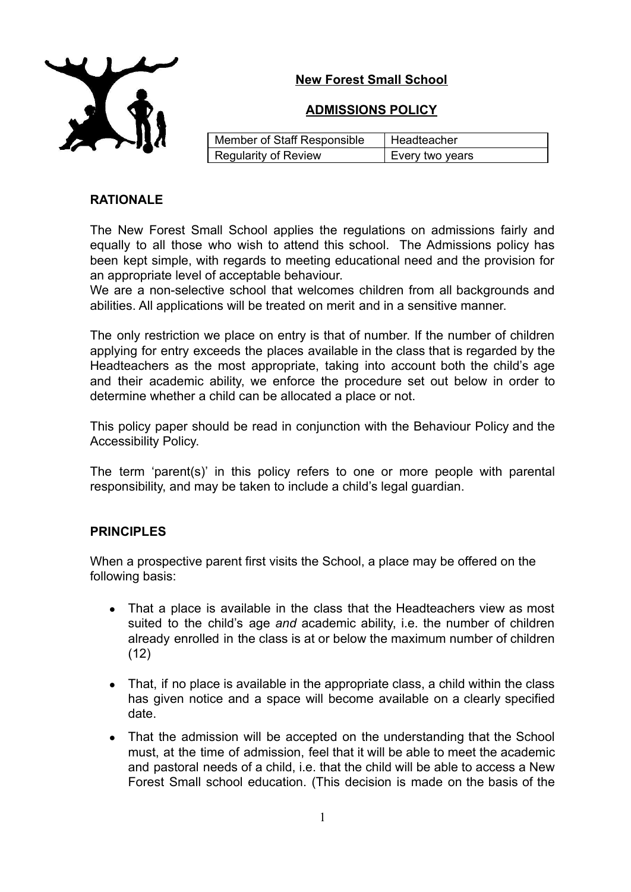# **New Forest Small School**



## **ADMISSIONS POLICY**

| Member of Staff Responsible | Headteacher     |
|-----------------------------|-----------------|
| Regularity of Review        | Every two years |

## **RATIONALE**

The New Forest Small School applies the regulations on admissions fairly and equally to all those who wish to attend this school. The Admissions policy has been kept simple, with regards to meeting educational need and the provision for an appropriate level of acceptable behaviour.

We are a non-selective school that welcomes children from all backgrounds and abilities. All applications will be treated on merit and in a sensitive manner.

The only restriction we place on entry is that of number. If the number of children applying for entry exceeds the places available in the class that is regarded by the Headteachers as the most appropriate, taking into account both the child's age and their academic ability, we enforce the procedure set out below in order to determine whether a child can be allocated a place or not.

This policy paper should be read in conjunction with the Behaviour Policy and the Accessibility Policy.

The term 'parent(s)' in this policy refers to one or more people with parental responsibility, and may be taken to include a child's legal guardian.

## **PRINCIPLES**

When a prospective parent first visits the School, a place may be offered on the following basis:

- That a place is available in the class that the Headteachers view as most suited to the child's age *and* academic ability, i.e. the number of children already enrolled in the class is at or below the maximum number of children (12)
- That, if no place is available in the appropriate class, a child within the class has given notice and a space will become available on a clearly specified date.
- That the admission will be accepted on the understanding that the School must, at the time of admission, feel that it will be able to meet the academic and pastoral needs of a child, i.e. that the child will be able to access a New Forest Small school education. (This decision is made on the basis of the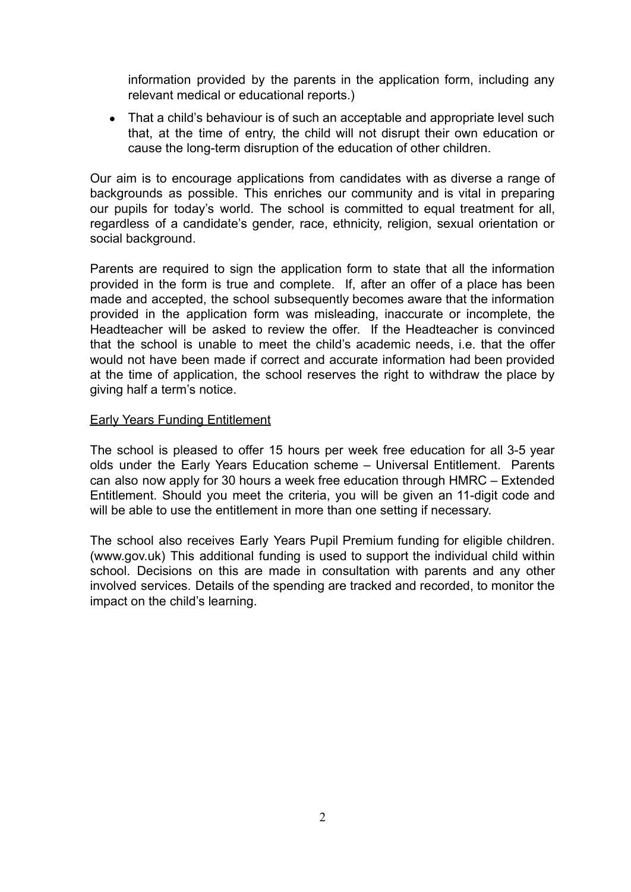information provided by the parents in the application form, including any relevant medical or educational reports.)

• That a child's behaviour is of such an acceptable and appropriate level such that, at the time of entry, the child will not disrupt their own education or cause the long-term disruption of the education of other children.

Our aim is to encourage applications from candidates with as diverse a range of backgrounds as possible. This enriches our community and is vital in preparing our pupils for today's world. The school is committed to equal treatment for all, regardless of a candidate's gender, race, ethnicity, religion, sexual orientation or social background.

Parents are required to sign the application form to state that all the information provided in the form is true and complete. If, after an offer of a place has been made and accepted, the school subsequently becomes aware that the information provided in the application form was misleading, inaccurate or incomplete, the Headteacher will be asked to review the offer. If the Headteacher is convinced that the school is unable to meet the child's academic needs, i.e. that the offer would not have been made if correct and accurate information had been provided at the time of application, the school reserves the right to withdraw the place by giving half a term's notice.

### Early Years Funding Entitlement

The school is pleased to offer 15 hours per week free education for all 3-5 year olds under the Early Years Education scheme – Universal Entitlement. Parents can also now apply for 30 hours a week free education through HMRC – Extended Entitlement. Should you meet the criteria, you will be given an 11-digit code and will be able to use the entitlement in more than one setting if necessary.

The school also receives Early Years Pupil Premium funding for eligible children. (www.gov.uk) This additional funding is used to support the individual child within school. Decisions on this are made in consultation with parents and any other involved services. Details of the spending are tracked and recorded, to monitor the impact on the child's learning.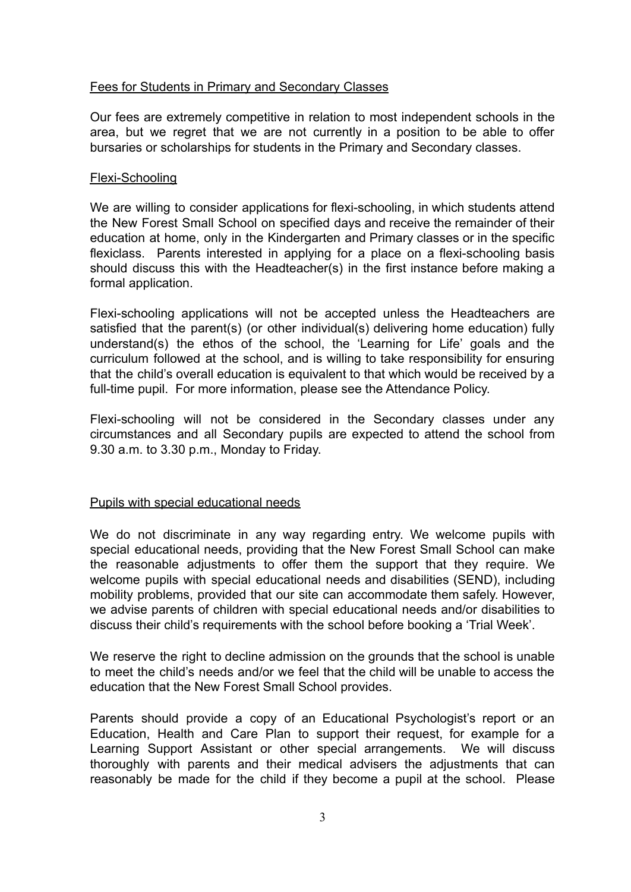### Fees for Students in Primary and Secondary Classes

Our fees are extremely competitive in relation to most independent schools in the area, but we regret that we are not currently in a position to be able to offer bursaries or scholarships for students in the Primary and Secondary classes.

#### Flexi-Schooling

We are willing to consider applications for flexi-schooling, in which students attend the New Forest Small School on specified days and receive the remainder of their education at home, only in the Kindergarten and Primary classes or in the specific flexiclass. Parents interested in applying for a place on a flexi-schooling basis should discuss this with the Headteacher(s) in the first instance before making a formal application.

Flexi-schooling applications will not be accepted unless the Headteachers are satisfied that the parent(s) (or other individual(s) delivering home education) fully understand(s) the ethos of the school, the 'Learning for Life' goals and the curriculum followed at the school, and is willing to take responsibility for ensuring that the child's overall education is equivalent to that which would be received by a full-time pupil. For more information, please see the Attendance Policy.

Flexi-schooling will not be considered in the Secondary classes under any circumstances and all Secondary pupils are expected to attend the school from 9.30 a.m. to 3.30 p.m., Monday to Friday.

#### Pupils with special educational needs

We do not discriminate in any way regarding entry. We welcome pupils with special educational needs, providing that the New Forest Small School can make the reasonable adjustments to offer them the support that they require. We welcome pupils with special educational needs and disabilities (SEND), including mobility problems, provided that our site can accommodate them safely. However, we advise parents of children with special educational needs and/or disabilities to discuss their child's requirements with the school before booking a 'Trial Week'.

We reserve the right to decline admission on the grounds that the school is unable to meet the child's needs and/or we feel that the child will be unable to access the education that the New Forest Small School provides.

Parents should provide a copy of an Educational Psychologist's report or an Education, Health and Care Plan to support their request, for example for a Learning Support Assistant or other special arrangements. We will discuss thoroughly with parents and their medical advisers the adjustments that can reasonably be made for the child if they become a pupil at the school. Please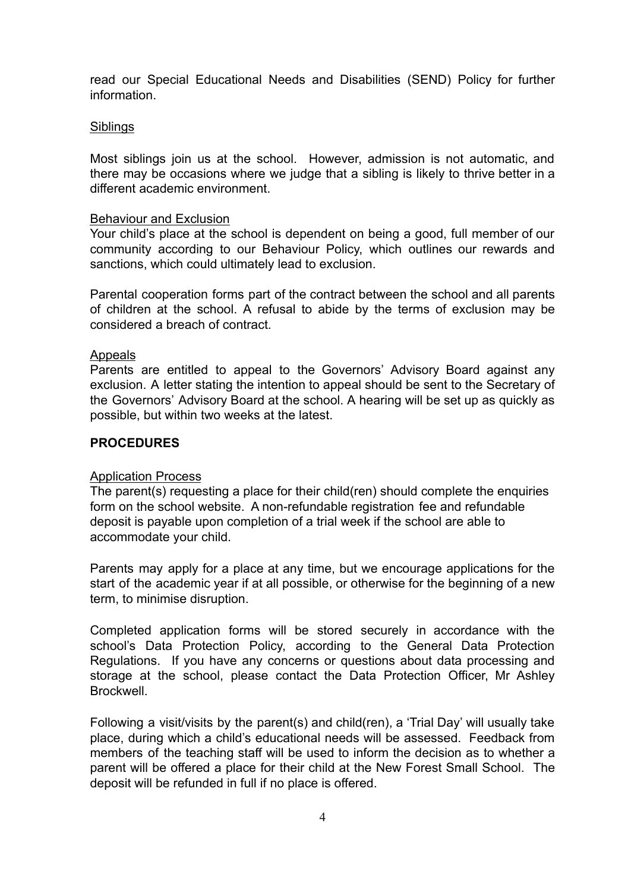read our Special Educational Needs and Disabilities (SEND) Policy for further information.

#### **Siblings**

Most siblings join us at the school. However, admission is not automatic, and there may be occasions where we judge that a sibling is likely to thrive better in a different academic environment.

#### Behaviour and Exclusion

Your child's place at the school is dependent on being a good, full member of our community according to our Behaviour Policy, which outlines our rewards and sanctions, which could ultimately lead to exclusion.

Parental cooperation forms part of the contract between the school and all parents of children at the school. A refusal to abide by the terms of exclusion may be considered a breach of contract.

#### Appeals

Parents are entitled to appeal to the Governors' Advisory Board against any exclusion. A letter stating the intention to appeal should be sent to the Secretary of the Governors' Advisory Board at the school. A hearing will be set up as quickly as possible, but within two weeks at the latest.

#### **PROCEDURES**

#### Application Process

The parent(s) requesting a place for their child(ren) should complete the enquiries form on the school website. A non-refundable registration fee and refundable deposit is payable upon completion of a trial week if the school are able to accommodate your child.

Parents may apply for a place at any time, but we encourage applications for the start of the academic year if at all possible, or otherwise for the beginning of a new term, to minimise disruption.

Completed application forms will be stored securely in accordance with the school's Data Protection Policy, according to the General Data Protection Regulations. If you have any concerns or questions about data processing and storage at the school, please contact the Data Protection Officer, Mr Ashley Brockwell.

Following a visit/visits by the parent(s) and child(ren), a 'Trial Day' will usually take place, during which a child's educational needs will be assessed. Feedback from members of the teaching staff will be used to inform the decision as to whether a parent will be offered a place for their child at the New Forest Small School. The deposit will be refunded in full if no place is offered.